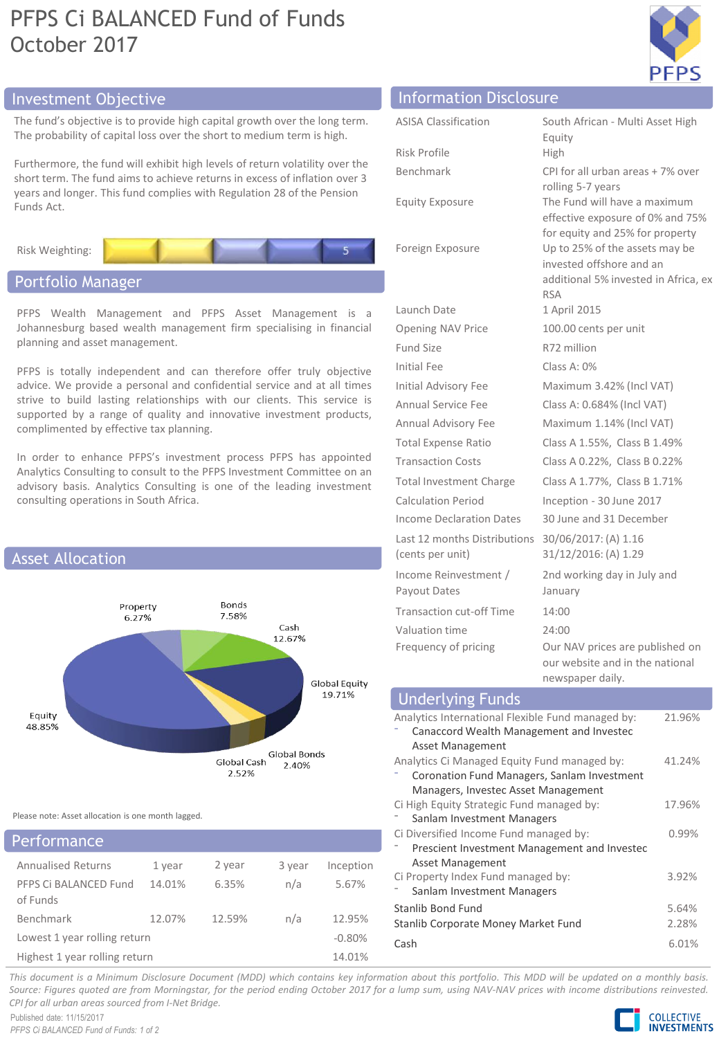# PFPS Ci BALANCED Fund of Funds October 2017



## Investment Objective Information Disclosure

The fund's objective is to provide high capital growth of The probability of capital loss over the short to medium

Furthermore, the fund will exhibit high levels of return short term. The fund aims to achieve returns in excess of years and longer. This fund complies with Regulation 28 Funds Act.



## Portfolio Manager

PFPS Wealth Management and PFPS Asset Management is a Johannesburg based wealth management firm specialising in financial planning and asset management.

PFPS is totally independent and can therefore offer truly objective advice. We provide a personal and confidential service and at all times strive to build lasting relationships with our clients. This service is supported by a range of quality and innovative investment products, complimented by effective tax planning.

In order to enhance PFPS's investment process PFPS has appointed Analytics Consulting to consult to the PFPS Investment Committee on an advisory basis. Analytics Consulting is one of the leading investment consulting operations in South Africa.



Please note: Asset allocation is one month lagged.

| <b>Performance</b>                |          |        |        |           |
|-----------------------------------|----------|--------|--------|-----------|
| <b>Annualised Returns</b>         | 1 year   | 2 year | 3 year | Inception |
| PFPS Ci BALANCED Fund<br>of Funds | 14.01%   | 6.35%  | n/a    | 5.67%     |
| Benchmark                         | 12.07%   | 12.59% | n/a    | 12.95%    |
| Lowest 1 year rolling return      | $-0.80%$ |        |        |           |
| Highest 1 year rolling return     | 14.01%   |        |        |           |

| ver the long term.<br>term is high.                            | <b>ASISA Classification</b> | South African - Multi Asset High<br>Equity                                                    |
|----------------------------------------------------------------|-----------------------------|-----------------------------------------------------------------------------------------------|
|                                                                | Risk Profile                | <b>High</b>                                                                                   |
| volatility over the<br>of inflation over 3<br>3 of the Pension | Benchmark                   | CPI for all urban areas + 7% over<br>rolling 5-7 years                                        |
|                                                                | Equity Exposure             | The Fund will have a maximum<br>effective exposure of 0% and 75%                              |
|                                                                | Foreign Exposure            | for equity and 25% for property<br>Up to 25% of the assets may be<br>invested offshore and an |
|                                                                |                             | additional 5% invested in Africa, ex                                                          |

|                                                  | <b>RSA</b>                                                         |
|--------------------------------------------------|--------------------------------------------------------------------|
| Launch Date                                      | 1 April 2015                                                       |
| Opening NAV Price                                | 100.00 cents per unit                                              |
| Fund Size                                        | R72 million                                                        |
| Initial Fee                                      | Class A: $0\%$                                                     |
| Initial Advisory Fee                             | Maximum 3.42% (Incl VAT)                                           |
| <b>Annual Service Fee</b>                        | Class A: 0.684% (Incl VAT)                                         |
| Annual Advisory Fee                              | Maximum 1.14% (Incl VAT)                                           |
| <b>Total Expense Ratio</b>                       | Class A 1.55%, Class B 1.49%                                       |
| <b>Transaction Costs</b>                         | Class A 0.22%, Class B 0.22%                                       |
| <b>Total Investment Charge</b>                   | Class A 1.77%, Class B 1.71%                                       |
| <b>Calculation Period</b>                        | Inception - 30 June 2017                                           |
| Income Declaration Dates                         | 30 June and 31 December                                            |
| Last 12 months Distributions<br>(cents per unit) | 30/06/2017: (A) 1.16<br>31/12/2016: (A) 1.29                       |
| Income Reinvestment /<br>Payout Dates            | 2nd working day in July and<br>January                             |
| <b>Transaction cut-off Time</b>                  | 14:00                                                              |
| Valuation time                                   | 24:00                                                              |
| Frequency of pricing                             | Our NAV prices are published on<br>our website and in the national |

| newspaper daily.                                  |        |
|---------------------------------------------------|--------|
| <b>Underlying Funds</b>                           |        |
| Analytics International Flexible Fund managed by: | 21.96% |
| Canaccord Wealth Management and Investec          |        |
| <b>Asset Management</b>                           |        |
| Analytics Ci Managed Equity Fund managed by:      | 41.24% |
| Coronation Fund Managers, Sanlam Investment       |        |
| Managers, Investec Asset Management               |        |
| Ci High Equity Strategic Fund managed by:         | 17.96% |
| Sanlam Investment Managers                        |        |
| Ci Diversified Income Fund managed by:            | 0.99%  |
| Prescient Investment Management and Investec      |        |
| Asset Management                                  |        |
| Ci Property Index Fund managed by:                | 3.92%  |
| Sanlam Investment Managers                        |        |
| Stanlib Bond Fund                                 | 5.64%  |
| Stanlib Corporate Money Market Fund               | 2.28%  |
| Cash                                              | 6.01%  |

This document is a Minimum Disclosure Document (MDD) which contains key information about this portfolio. This MDD will be updated on a monthly basis. Source: Figures quoted are from Morningstar, for the period ending October 2017 for a lump sum, using NAV-NAV prices with income distributions reinvested. *CPI for all urban areas sourced from I-Net Bridge.*

Published date: 11/15/2017 *PFPS Ci BALANCED Fund of Funds: 1 of 2*